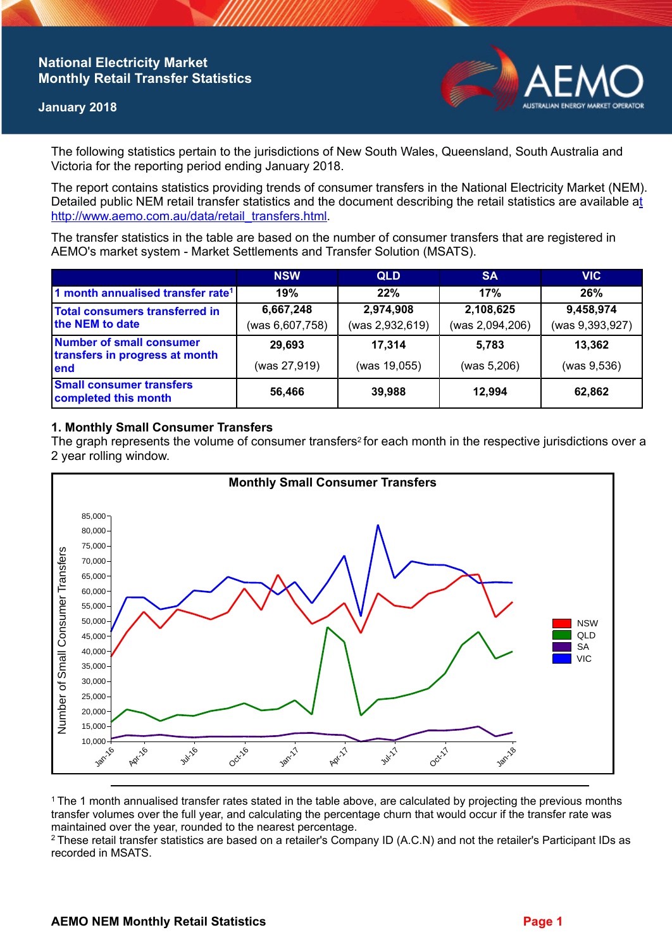## **National Electricity Market Monthly Retail Transfer Statistics**

### **January 2018**



The following statistics pertain to the jurisdictions of New South Wales, Queensland, South Australia and Victoria for the reporting period ending January 2018.

The report contains statistics providing trends of consumer transfers in the National Electricity Market (NEM). Detailed public NEM retail transfer statistics and the document describing the retail statistics are available a[t](http://www.aemo.com.au/data/retail_transfers.html)  http://www.aemo.com.au/data/retail\_transfers.html

The transfer statistics in the table are based on the number of consumer transfers that are registered in AEMO's market system - Market Settlements and Transfer Solution (MSATS).

|                                                                           | <b>NSW</b>      | <b>QLD</b>      | <b>SA</b>       | <b>VIC</b>      |
|---------------------------------------------------------------------------|-----------------|-----------------|-----------------|-----------------|
| 1 month annualised transfer rate <sup>1</sup>                             | 19%             | 22%             | 17%             | 26%             |
| Total consumers transferred in<br>the NEM to date                         | 6,667,248       | 2,974,908       | 2,108,625       | 9,458,974       |
|                                                                           | (was 6,607,758) | (was 2,932,619) | (was 2,094,206) | (was 9,393,927) |
| <b>Number of small consumer</b><br>transfers in progress at month<br>lend | 29,693          | 17.314          | 5.783           | 13,362          |
|                                                                           | (was 27,919)    | (was 19,055)    | (was 5,206)     | (was 9,536)     |
| <b>Small consumer transfers</b><br>completed this month                   | 56,466          | 39,988          | 12.994          | 62,862          |

### **1. Monthly Small Consumer Transfers**

The graph represents the volume of consumer transfers<sup>2</sup> for each month in the respective jurisdictions over a 2 year rolling window.



<sup>1</sup>The 1 month annualised transfer rates stated in the table above, are calculated by projecting the previous months transfer volumes over the full year, and calculating the percentage churn that would occur if the transfer rate was maintained over the year, rounded to the nearest percentage.

<sup>2</sup> These retail transfer statistics are based on a retailer's Company ID (A.C.N) and not the retailer's Participant IDs as recorded in MSATS.